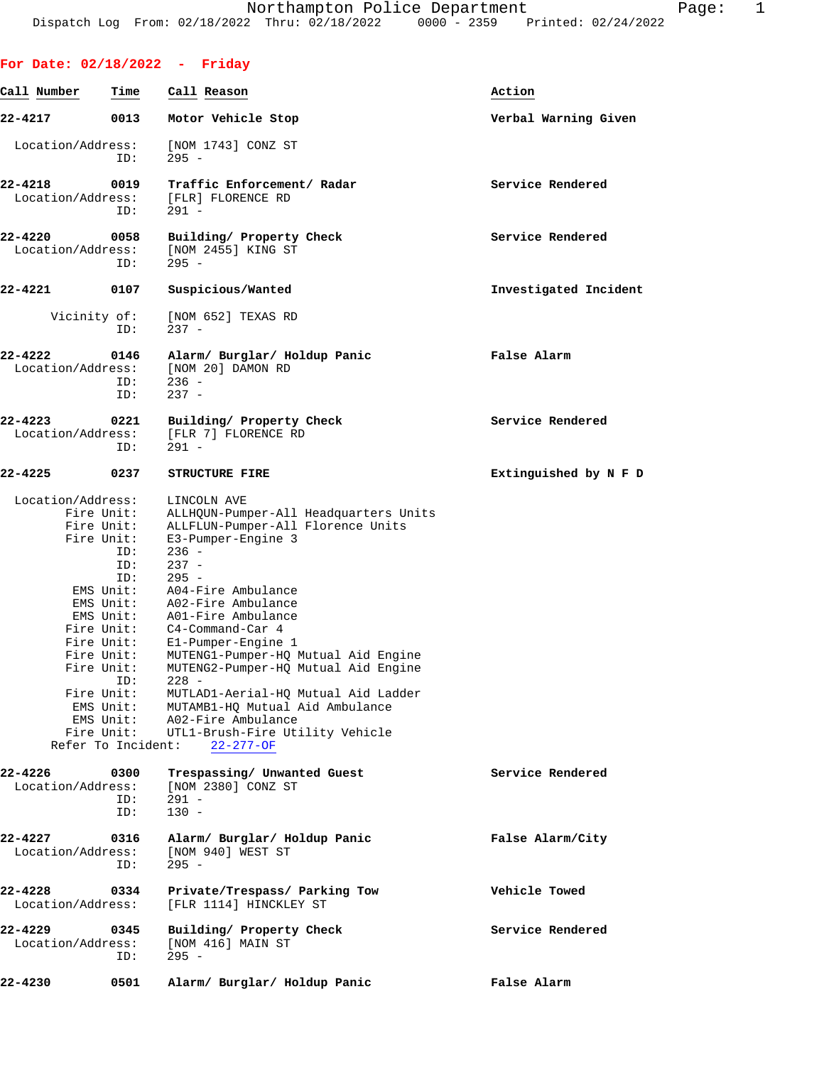| For Date: 02/18/2022 - Friday                                                                   |                                                      |                                                                                                                                                                                                                                                                                                                                                                                                                                                                                                                                                                                                |                       |
|-------------------------------------------------------------------------------------------------|------------------------------------------------------|------------------------------------------------------------------------------------------------------------------------------------------------------------------------------------------------------------------------------------------------------------------------------------------------------------------------------------------------------------------------------------------------------------------------------------------------------------------------------------------------------------------------------------------------------------------------------------------------|-----------------------|
| Call Number                                                                                     | Time                                                 | Call Reason                                                                                                                                                                                                                                                                                                                                                                                                                                                                                                                                                                                    | Action                |
| 22-4217                                                                                         | 0013                                                 | Motor Vehicle Stop                                                                                                                                                                                                                                                                                                                                                                                                                                                                                                                                                                             | Verbal Warning Given  |
| Location/Address:                                                                               | ID:                                                  | [NOM 1743] CONZ ST<br>$295 -$                                                                                                                                                                                                                                                                                                                                                                                                                                                                                                                                                                  |                       |
| 22-4218<br>Location/Address:                                                                    | 0019<br>ID:                                          | Traffic Enforcement/ Radar<br>[FLR] FLORENCE RD<br>$291 -$                                                                                                                                                                                                                                                                                                                                                                                                                                                                                                                                     | Service Rendered      |
| 22-4220<br>Location/Address:                                                                    | 0058<br>ID:                                          | Building/ Property Check<br>[NOM 2455] KING ST<br>$295 -$                                                                                                                                                                                                                                                                                                                                                                                                                                                                                                                                      | Service Rendered      |
| 22-4221                                                                                         | 0107                                                 | Suspicious/Wanted                                                                                                                                                                                                                                                                                                                                                                                                                                                                                                                                                                              | Investigated Incident |
| Vicinity of:                                                                                    | ID:                                                  | [NOM 652] TEXAS RD<br>$237 -$                                                                                                                                                                                                                                                                                                                                                                                                                                                                                                                                                                  |                       |
| 22-4222<br>Location/Address:                                                                    | 0146<br>ID:<br>ID:                                   | Alarm/ Burglar/ Holdup Panic<br>[NOM 20] DAMON RD<br>$236 -$<br>$237 -$                                                                                                                                                                                                                                                                                                                                                                                                                                                                                                                        | False Alarm           |
| 22-4223<br>Location/Address:                                                                    | 0221<br>ID:                                          | Building/ Property Check<br>[FLR 7] FLORENCE RD<br>$291 -$                                                                                                                                                                                                                                                                                                                                                                                                                                                                                                                                     | Service Rendered      |
| 22-4225                                                                                         | 0237                                                 | <b>STRUCTURE FIRE</b>                                                                                                                                                                                                                                                                                                                                                                                                                                                                                                                                                                          | Extinguished by N F D |
| Location/Address:<br>Fire Unit:<br>Fire Unit:<br>Fire Unit:<br>Fire Unit:<br>Refer To Incident: | Fire Unit:<br>ID:<br>ID:<br>ID:<br>ID:<br>Fire Unit: | LINCOLN AVE<br>ALLHQUN-Pumper-All Headquarters Units<br>ALLFLUN-Pumper-All Florence Units<br>E3-Pumper-Engine 3<br>$236 -$<br>$237 -$<br>$295 -$<br>EMS Unit: A04-Fire Ambulance<br>EMS Unit: A02-Fire Ambulance<br>EMS Unit: A01-Fire Ambulance<br>Fire Unit: C4-Command-Car 4<br>El-Pumper-Engine 1<br>Fire Unit: MUTENG1-Pumper-HQ Mutual Aid Engine<br>MUTENG2-Pumper-HQ Mutual Aid Engine<br>$228 -$<br>MUTLAD1-Aerial-HQ Mutual Aid Ladder<br>EMS Unit: MUTAMB1-HQ Mutual Aid Ambulance<br>EMS Unit: A02-Fire Ambulance<br>Fire Unit: UTL1-Brush-Fire Utility Vehicle<br>$22 - 277 - OF$ |                       |
| 22-4226<br>Location/Address:                                                                    | 0300<br>ID:<br>ID:                                   | Trespassing/ Unwanted Guest<br>[NOM 2380] CONZ ST<br>$291 -$<br>$130 -$                                                                                                                                                                                                                                                                                                                                                                                                                                                                                                                        | Service Rendered      |
| 22-4227<br>Location/Address:                                                                    | 0316<br>ID:                                          | Alarm/ Burglar/ Holdup Panic<br>[NOM 940] WEST ST<br>$295 -$                                                                                                                                                                                                                                                                                                                                                                                                                                                                                                                                   | False Alarm/City      |
| 22-4228<br>Location/Address:                                                                    | 0334                                                 | Private/Trespass/ Parking Tow<br>[FLR 1114] HINCKLEY ST                                                                                                                                                                                                                                                                                                                                                                                                                                                                                                                                        | Vehicle Towed         |
| 22-4229<br>Location/Address:                                                                    | 0345<br>ID:                                          | Building/ Property Check<br>$[NOM 416]$ MAIN ST<br>$295 -$                                                                                                                                                                                                                                                                                                                                                                                                                                                                                                                                     | Service Rendered      |
| 22-4230                                                                                         | 0501                                                 | Alarm/ Burglar/ Holdup Panic                                                                                                                                                                                                                                                                                                                                                                                                                                                                                                                                                                   | False Alarm           |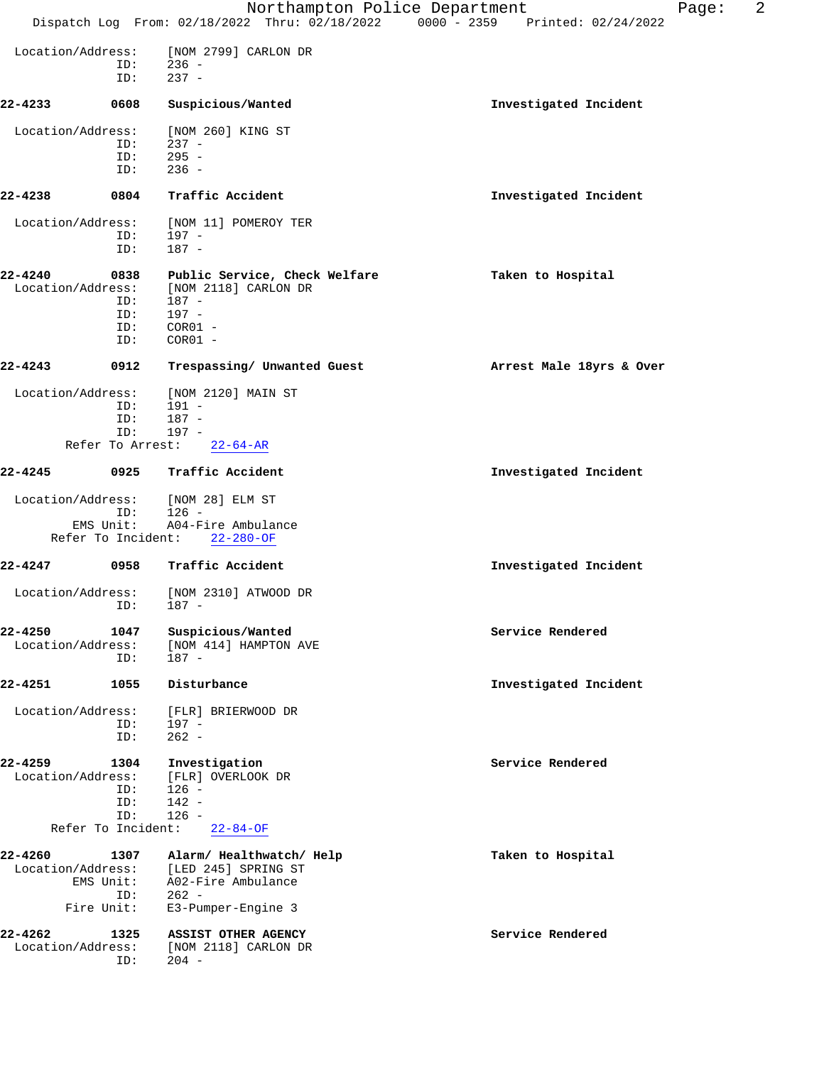|                              |                                                 | Northampton Police Department<br>Dispatch Log From: 02/18/2022 Thru: 02/18/2022 0000 - 2359 Printed: 02/24/2022 | Page:                    | 2 |
|------------------------------|-------------------------------------------------|-----------------------------------------------------------------------------------------------------------------|--------------------------|---|
| Location/Address:            | ID:<br>ID:                                      | [NOM 2799] CARLON DR<br>$236 -$<br>$237 -$                                                                      |                          |   |
| 22-4233                      | 0608                                            | Suspicious/Wanted                                                                                               | Investigated Incident    |   |
| Location/Address:            | ID:<br>ID:<br>ID:                               | [NOM 260] KING ST<br>$237 -$<br>$295 -$<br>$236 -$                                                              |                          |   |
| 22-4238                      | 0804                                            | Traffic Accident                                                                                                | Investigated Incident    |   |
| Location/Address:            | ID:<br>ID:                                      | [NOM 11] POMEROY TER<br>$197 -$<br>$187 -$                                                                      |                          |   |
| 22-4240<br>Location/Address: | 0838<br>ID:<br>ID:<br>ID:<br>ID:                | Public Service, Check Welfare<br>[NOM 2118] CARLON DR<br>$187 -$<br>$197 -$<br>$COR01 -$<br>$COR01 -$           | Taken to Hospital        |   |
| 22-4243                      | 0912                                            | Trespassing/ Unwanted Guest                                                                                     | Arrest Male 18yrs & Over |   |
| Location/Address:            | ID:<br>ID:<br>ID:<br>Refer To Arrest:           | [NOM 2120] MAIN ST<br>191 -<br>$187 -$<br>$197 -$<br>$22 - 64 - AR$                                             |                          |   |
| 22-4245                      | 0925                                            | Traffic Accident                                                                                                | Investigated Incident    |   |
| Location/Address:            | ID:<br>EMS Unit:<br>Refer To Incident:          | [NOM 28] ELM ST<br>$126 -$<br>A04-Fire Ambulance<br>$22 - 280 - OF$                                             |                          |   |
| 22-4247                      | 0958                                            | Traffic Accident                                                                                                | Investigated Incident    |   |
| Location/Address:            | ID:                                             | [NOM 2310] ATWOOD DR<br>187 -                                                                                   |                          |   |
| 22-4250<br>Location/Address: | 1047<br>ID:                                     | Suspicious/Wanted<br>[NOM 414] HAMPTON AVE<br>187 -                                                             | Service Rendered         |   |
| 22-4251                      | 1055                                            | Disturbance                                                                                                     | Investigated Incident    |   |
| Location/Address:            | ID:<br>ID:                                      | [FLR] BRIERWOOD DR<br>$197 -$<br>$262 -$                                                                        |                          |   |
| 22-4259<br>Location/Address: | 1304<br>ID:<br>ID:<br>ID:<br>Refer To Incident: | Investigation<br>[FLR] OVERLOOK DR<br>$126 -$<br>$142 -$<br>$126 -$<br>$22 - 84 - OF$                           | Service Rendered         |   |
| 22-4260<br>Location/Address: | 1307<br>EMS Unit:<br>ID:                        | Alarm/ Healthwatch/ Help<br>[LED 245] SPRING ST<br>A02-Fire Ambulance<br>$262 -$                                | Taken to Hospital        |   |
|                              | Fire Unit:                                      | E3-Pumper-Engine 3                                                                                              |                          |   |
| 22-4262<br>Location/Address: | 1325<br>ID:                                     | ASSIST OTHER AGENCY<br>[NOM 2118] CARLON DR<br>$204 -$                                                          | Service Rendered         |   |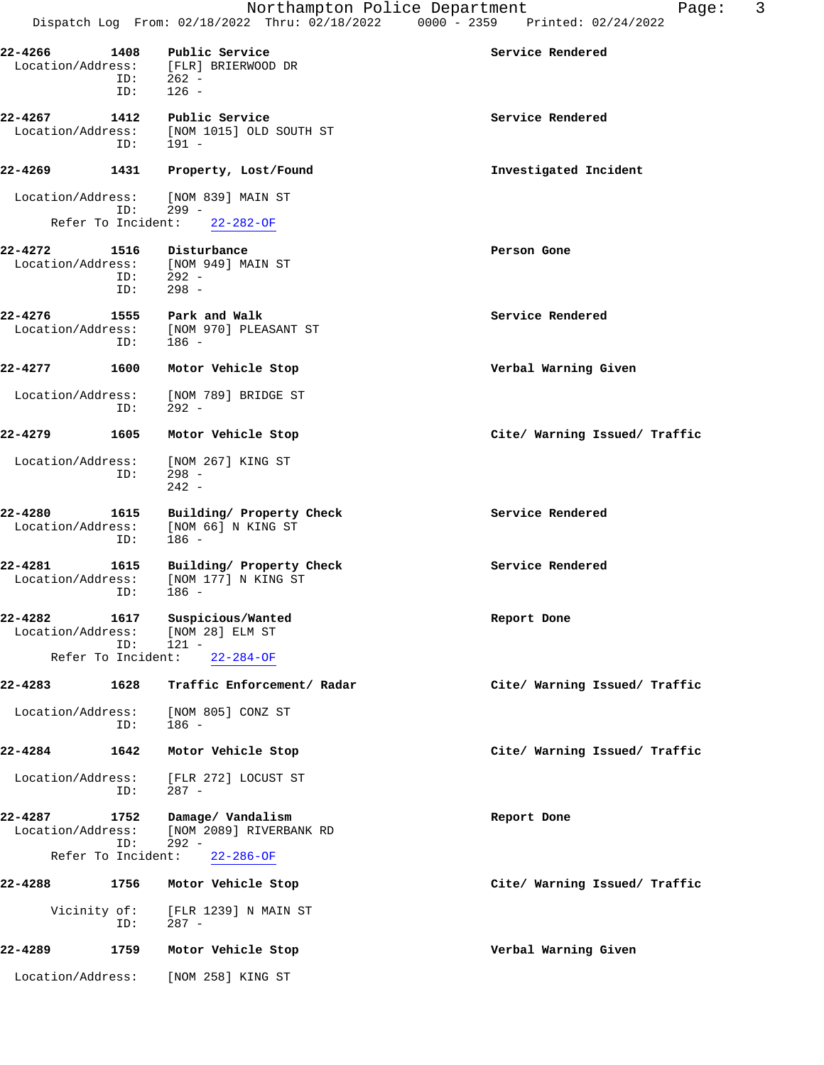| $22 - 4266$                  | 1408<br>ID:<br>ID: | Public Service<br>Location/Address: [FLR] BRIERWOOD DR<br>262 -<br>$126 -$ | Service Rendered              |
|------------------------------|--------------------|----------------------------------------------------------------------------|-------------------------------|
| 22-4267<br>Location/Address: | 1412<br>ID:        | Public Service<br>[NOM 1015] OLD SOUTH ST<br>191 -                         | Service Rendered              |
| 22-4269                      | 1431               | Property, Lost/Found                                                       | Investigated Incident         |
| Location/Address:            | ID:                | [NOM 839] MAIN ST<br>$299 -$<br>Refer To Incident: 22-282-OF               |                               |
| 22-4272<br>Location/Address: | 1516<br>ID:<br>ID: | Disturbance<br>[NOM 949] MAIN ST<br>292 -<br>$298 -$                       | Person Gone                   |
| 22-4276<br>Location/Address: | 1555<br>ID:        | Park and Walk<br>[NOM 970] PLEASANT ST<br>186 -                            | Service Rendered              |
| 22-4277                      | 1600               | Motor Vehicle Stop                                                         | Verbal Warning Given          |
| Location/Address:            | ID:                | [NOM 789] BRIDGE ST<br>$292 -$                                             |                               |
| 22-4279                      | 1605               | Motor Vehicle Stop                                                         | Cite/ Warning Issued/ Traffic |
| Location/Address:            | ID:                | [NOM 267] KING ST<br>$298 -$<br>$242 -$                                    |                               |
| 22-4280<br>Location/Address: | 1615<br>ID:        | Building/ Property Check<br>[NOM 66] N KING ST<br>$186 -$                  | Service Rendered              |
| 22-4281<br>Location/Address: | 1615<br>ID:        | Building/ Property Check<br>[NOM 177] N KING ST<br>186 -                   | Service Rendered              |
| 22-4282                      | 1617<br>ID:        | Suspicious/Wanted<br>Location/Address: [NOM 28] ELM ST<br>$121 -$          | Report Done                   |
| Refer To Incident:           |                    | $22 - 284 - OF$                                                            |                               |
| 22-4283                      | 1628               | Traffic Enforcement/ Radar                                                 | Cite/ Warning Issued/ Traffic |
| Location/Address:            | ID:                | [NOM 805] CONZ ST<br>186 -                                                 |                               |
| 22-4284                      | 1642               | Motor Vehicle Stop                                                         | Cite/ Warning Issued/ Traffic |
| Location/Address:            | ID:                | [FLR 272] LOCUST ST<br>287 -                                               |                               |
| 22-4287<br>Location/Address: | 1752<br>ID:        | Damage/ Vandalism<br>[NOM 2089] RIVERBANK RD<br>$292 -$                    | Report Done                   |
| Refer To Incident:           |                    | $22 - 286 - OF$                                                            |                               |
| 22-4288                      | 1756               | Motor Vehicle Stop                                                         | Cite/ Warning Issued/ Traffic |
| Vicinity of:                 | ID:                | [FLR 1239] N MAIN ST<br>287 -                                              |                               |
| 22-4289                      | 1759               | Motor Vehicle Stop                                                         | Verbal Warning Given          |
| Location/Address:            |                    | [NOM 258] KING ST                                                          |                               |